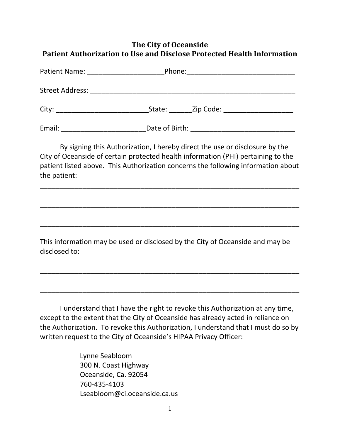## **The City of Oceanside Patient Authorization to Use and Disclose Protected Health Information**

| Patient Name: | Phone:                 |  |
|---------------|------------------------|--|
|               |                        |  |
|               | State: Zip Code: 2000. |  |
| Email:        | Date of Birth:         |  |

By signing this Authorization, I hereby direct the use or disclosure by the City of Oceanside of certain protected health information (PHI) pertaining to the patient listed above. This Authorization concerns the following information about the patient:

\_\_\_\_\_\_\_\_\_\_\_\_\_\_\_\_\_\_\_\_\_\_\_\_\_\_\_\_\_\_\_\_\_\_\_\_\_\_\_\_\_\_\_\_\_\_\_\_\_\_\_\_\_\_\_\_\_\_\_\_\_\_\_\_\_\_\_

\_\_\_\_\_\_\_\_\_\_\_\_\_\_\_\_\_\_\_\_\_\_\_\_\_\_\_\_\_\_\_\_\_\_\_\_\_\_\_\_\_\_\_\_\_\_\_\_\_\_\_\_\_\_\_\_\_\_\_\_\_\_\_\_\_\_\_

\_\_\_\_\_\_\_\_\_\_\_\_\_\_\_\_\_\_\_\_\_\_\_\_\_\_\_\_\_\_\_\_\_\_\_\_\_\_\_\_\_\_\_\_\_\_\_\_\_\_\_\_\_\_\_\_\_\_\_\_\_\_\_\_\_\_\_

This information may be used or disclosed by the City of Oceanside and may be disclosed to:

\_\_\_\_\_\_\_\_\_\_\_\_\_\_\_\_\_\_\_\_\_\_\_\_\_\_\_\_\_\_\_\_\_\_\_\_\_\_\_\_\_\_\_\_\_\_\_\_\_\_\_\_\_\_\_\_\_\_\_\_\_\_\_\_\_\_\_

\_\_\_\_\_\_\_\_\_\_\_\_\_\_\_\_\_\_\_\_\_\_\_\_\_\_\_\_\_\_\_\_\_\_\_\_\_\_\_\_\_\_\_\_\_\_\_\_\_\_\_\_\_\_\_\_\_\_\_\_\_\_\_\_\_\_\_

I understand that I have the right to revoke this Authorization at any time, except to the extent that the City of Oceanside has already acted in reliance on the Authorization. To revoke this Authorization, I understand that I must do so by written request to the City of Oceanside's HIPAA Privacy Officer:

> Lynne Seabloom 300 N. Coast Highway Oceanside, Ca. 92054 760‐435‐4103 Lseabloom@ci.oceanside.ca.us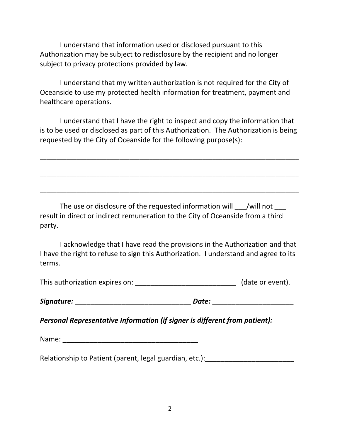I understand that information used or disclosed pursuant to this Authorization may be subject to redisclosure by the recipient and no longer subject to privacy protections provided by law.

I understand that my written authorization is not required for the City of Oceanside to use my protected health information for treatment, payment and healthcare operations.

I understand that I have the right to inspect and copy the information that is to be used or disclosed as part of this Authorization. The Authorization is being requested by the City of Oceanside for the following purpose(s):

\_\_\_\_\_\_\_\_\_\_\_\_\_\_\_\_\_\_\_\_\_\_\_\_\_\_\_\_\_\_\_\_\_\_\_\_\_\_\_\_\_\_\_\_\_\_\_\_\_\_\_\_\_\_\_\_\_\_\_\_\_\_\_\_\_\_\_\_\_\_\_\_\_\_\_\_\_\_

\_\_\_\_\_\_\_\_\_\_\_\_\_\_\_\_\_\_\_\_\_\_\_\_\_\_\_\_\_\_\_\_\_\_\_\_\_\_\_\_\_\_\_\_\_\_\_\_\_\_\_\_\_\_\_\_\_\_\_\_\_\_\_\_\_\_\_\_\_\_\_\_\_\_\_\_\_\_

\_\_\_\_\_\_\_\_\_\_\_\_\_\_\_\_\_\_\_\_\_\_\_\_\_\_\_\_\_\_\_\_\_\_\_\_\_\_\_\_\_\_\_\_\_\_\_\_\_\_\_\_\_\_\_\_\_\_\_\_\_\_\_\_\_\_\_\_\_\_\_\_\_\_\_\_\_\_

The use or disclosure of the requested information will \_\_\_/will not \_\_\_ result in direct or indirect remuneration to the City of Oceanside from a third party.

I acknowledge that I have read the provisions in the Authorization and that I have the right to refuse to sign this Authorization. I understand and agree to its terms.

This authorization expires on: **We are all that the contract of the contract of the contract of the contract of the contract of the contract of the contract of the contract of the contract of the contract of the contract o** 

*Signature:* \_\_\_\_\_\_\_\_\_\_\_\_\_\_\_\_\_\_\_\_\_\_\_\_\_\_\_\_\_\_ *Date:* \_\_\_\_\_\_\_\_\_\_\_\_\_\_\_\_\_\_\_\_\_

*Personal Representative Information (if signer is different from patient):*

Name: \_\_\_\_\_\_\_\_\_\_\_\_\_\_\_\_\_\_\_\_\_\_\_\_\_\_\_\_\_\_\_\_\_\_\_

Relationship to Patient (parent, legal guardian, etc.):